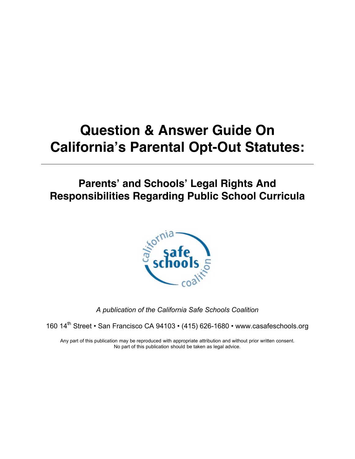## **Question & Answer Guide On California's Parental Opt-Out Statutes:**

#### **Parents' and Schools' Legal Rights And Responsibilities Regarding Public School Curricula**



*A publication of the California Safe Schools Coalition*

160 14<sup>th</sup> Street • San Francisco CA 94103 • (415) 626-1680 • www.casafeschools.org

Any part of this publication may be reproduced with appropriate attribution and without prior written consent. No part of this publication should be taken as legal advice.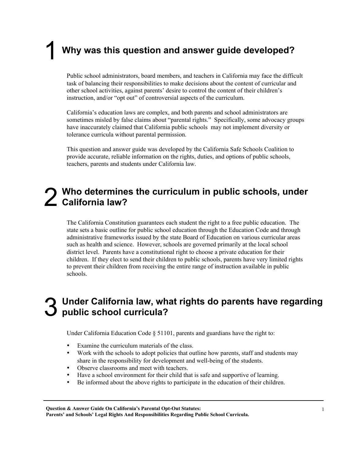### 1 **Why was this question and answer guide developed?**

Public school administrators, board members, and teachers in California may face the difficult task of balancing their responsibilities to make decisions about the content of curricular and other school activities, against parents' desire to control the content of their children's instruction, and/or "opt out" of controversial aspects of the curriculum.

California's education laws are complex, and both parents and school administrators are sometimes misled by false claims about "parental rights." Specifically, some advocacy groups have inaccurately claimed that California public schools may not implement diversity or tolerance curricula without parental permission.

This question and answer guide was developed by the California Safe Schools Coalition to provide accurate, reliable information on the rights, duties, and options of public schools, teachers, parents and students under California law.

# 2 **Who determines the curriculum in public schools, under California law?**

The California Constitution guarantees each student the right to a free public education. The state sets a basic outline for public school education through the Education Code and through administrative frameworks issued by the state Board of Education on various curricular areas such as health and science. However, schools are governed primarily at the local school district level. Parents have a constitutional right to choose a private education for their children. If they elect to send their children to public schools, parents have very limited rights to prevent their children from receiving the entire range of instruction available in public schools.

#### 3 **Under California law, what rights do parents have regarding public school curricula?**

Under California Education Code  $\S$  51101, parents and guardians have the right to:

- Examine the curriculum materials of the class.
- Work with the schools to adopt policies that outline how parents, staff and students may share in the responsibility for development and well-being of the students.
- Observe classrooms and meet with teachers.
- Have a school environment for their child that is safe and supportive of learning.
- Be informed about the above rights to participate in the education of their children.

Question & Answer Guide On California's Parental Opt-Out Statutes: Parents' and Schools' Legal Rights And Responsibilities Regarding Public School Curricula.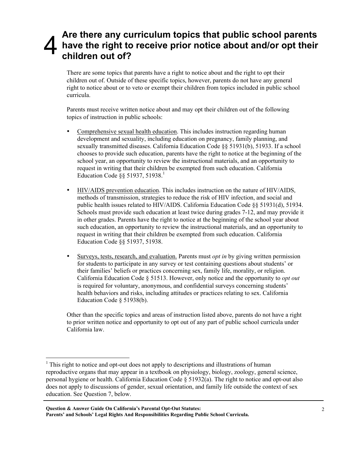#### Are there any curriculum topics that public school parents<br>have the right to receive prior notice about and/or opt their<br>children out of? **have the right to receive prior notice about and/or opt their children out of?**

There are some topics that parents have a right to notice about and the right to opt their children out of. Outside of these specific topics, however, parents do not have any general right to notice about or to veto or exempt their children from topics included in public school curricula.

Parents must receive written notice about and may opt their children out of the following topics of instruction in public schools:

- Comprehensive sexual health education. This includes instruction regarding human development and sexuality, including education on pregnancy, family planning, and sexually transmitted diseases. California Education Code §§ 51931(b), 51933. If a school chooses to provide such education, parents have the right to notice at the beginning of the school year, an opportunity to review the instructional materials, and an opportunity to request in writing that their children be exempted from such education. California Education Code  $\S$ § 51937, 51938.<sup>1</sup>
- HIV/AIDS prevention education. This includes instruction on the nature of HIV/AIDS, methods of transmission, strategies to reduce the risk of HIV infection, and social and public health issues related to HIV/AIDS. California Education Code §§ 51931(d), 51934. Schools must provide such education at least twice during grades 7-12, and may provide it in other grades. Parents have the right to notice at the beginning of the school year about such education, an opportunity to review the instructional materials, and an opportunity to request in writing that their children be exempted from such education. California Education Code §§ 51937, 51938.
- Surveys, tests, research, and evaluation. Parents must *opt in* by giving written permission for students to participate in any survey or test containing questions about students' or their families' beliefs or practices concerning sex, family life, morality, or religion. California Education Code § 51513. However, only notice and the opportunity to *opt out* is required for voluntary, anonymous, and confidential surveys concerning students' health behaviors and risks, including attitudes or practices relating to sex. California Education Code § 51938(b).

Other than the specific topics and areas of instruction listed above, parents do not have a right to prior written notice and opportunity to opt out of any part of public school curricula under California law.

 $\frac{1}{1}$  $1$ <sup>1</sup> This right to notice and opt-out does not apply to descriptions and illustrations of human reproductive organs that may appear in a textbook on physiology, biology, zoology, general science, personal hygiene or health. California Education Code § 51932(a). The right to notice and opt-out also does not apply to discussions of gender, sexual orientation, and family life outside the context of sex education. See Question 7, below.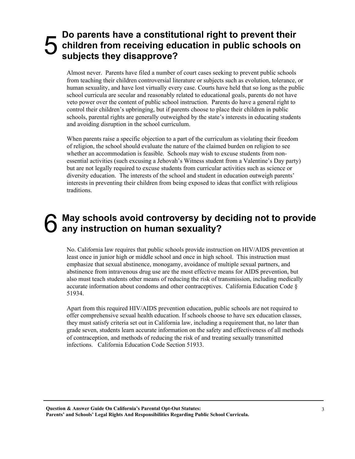#### **5** Do parents have a constitutional right to prevent their<br> **5** children from receiving education in public schools of<br>
subjects they disapprove? **children from receiving education in public schools on subjects they disapprove?**

Almost never. Parents have filed a number of court cases seeking to prevent public schools from teaching their children controversial literature or subjects such as evolution, tolerance, or human sexuality, and have lost virtually every case. Courts have held that so long as the public school curricula are secular and reasonably related to educational goals, parents do not have veto power over the content of public school instruction. Parents do have a general right to control their children's upbringing, but if parents choose to place their children in public schools, parental rights are generally outweighed by the state's interests in educating students and avoiding disruption in the school curriculum.

When parents raise a specific objection to a part of the curriculum as violating their freedom of religion, the school should evaluate the nature of the claimed burden on religion to see whether an accommodation is feasible. Schools may wish to excuse students from nonessential activities (such excusing a Jehovah's Witness student from a Valentine's Day party) but are not legally required to excuse students from curricular activities such as science or diversity education. The interests of the school and student in education outweigh parents' interests in preventing their children from being exposed to ideas that conflict with religious traditions.

#### 6 **May schools avoid controversy by deciding not to provide any instruction on human sexuality?**

No. California law requires that public schools provide instruction on HIV/AIDS prevention at least once in junior high or middle school and once in high school. This instruction must emphasize that sexual abstinence, monogamy, avoidance of multiple sexual partners, and abstinence from intravenous drug use are the most effective means for AIDS prevention, but also must teach students other means of reducing the risk of transmission, including medically accurate information about condoms and other contraceptives. California Education Code § 51934.

Apart from this required HIV/AIDS prevention education, public schools are not required to offer comprehensive sexual health education. If schools choose to have sex education classes, they must satisfy criteria set out in California law, including a requirement that, no later than grade seven, students learn accurate information on the safety and effectiveness of all methods of contraception, and methods of reducing the risk of and treating sexually transmitted infections. California Education Code Section 51933.